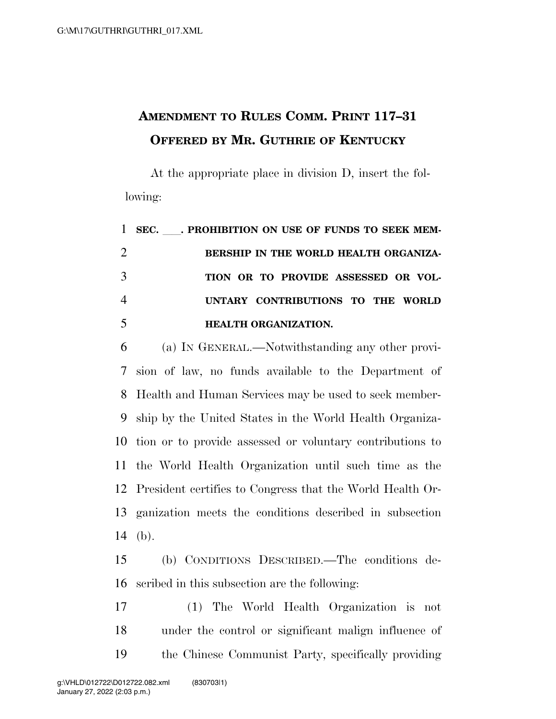## **AMENDMENT TO RULES COMM. PRINT 117–31 OFFERED BY MR. GUTHRIE OF KENTUCKY**

At the appropriate place in division D, insert the following:

|   | 1 SEC. PROHIBITION ON USE OF FUNDS TO SEEK MEM- |
|---|-------------------------------------------------|
| 2 | BERSHIP IN THE WORLD HEALTH ORGANIZA-           |
| 3 | TION OR TO PROVIDE ASSESSED OR VOL-             |
| 4 | UNTARY CONTRIBUTIONS TO THE WORLD               |
| 5 | <b>HEALTH ORGANIZATION.</b>                     |

 (a) IN GENERAL.—Notwithstanding any other provi- sion of law, no funds available to the Department of Health and Human Services may be used to seek member- ship by the United States in the World Health Organiza- tion or to provide assessed or voluntary contributions to the World Health Organization until such time as the President certifies to Congress that the World Health Or- ganization meets the conditions described in subsection (b).

 (b) CONDITIONS DESCRIBED.—The conditions de-scribed in this subsection are the following:

 (1) The World Health Organization is not under the control or significant malign influence of the Chinese Communist Party, specifically providing